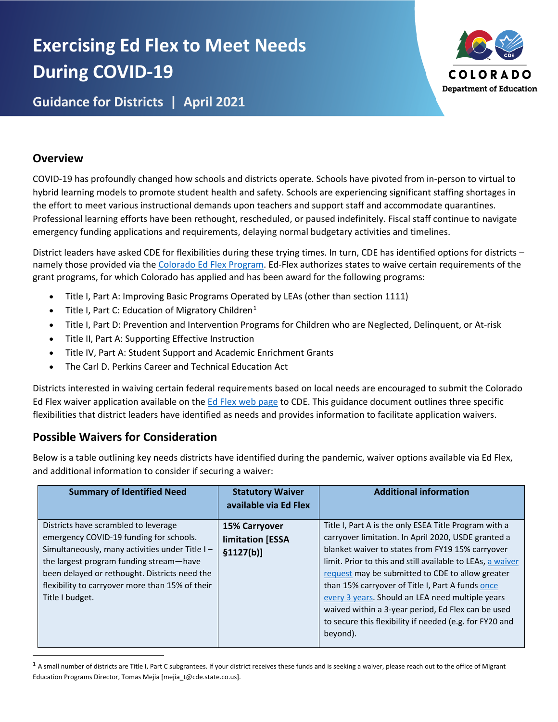# **Exercising Ed Flex to Meet Needs During COVID-19**



**Guidance for Districts | April 2021**

## **Overview**

COVID-19 has profoundly changed how schools and districts operate. Schools have pivoted from in-person to virtual to hybrid learning models to promote student health and safety. Schools are experiencing significant staffing shortages in the effort to meet various instructional demands upon teachers and support staff and accommodate quarantines. Professional learning efforts have been rethought, rescheduled, or paused indefinitely. Fiscal staff continue to navigate emergency funding applications and requirements, delaying normal budgetary activities and timelines.

District leaders have asked CDE for flexibilities during these trying times. In turn, CDE has identified options for districts – namely those provided via the [Colorado Ed Flex Program.](https://www.cde.state.co.us/fedprograms/ov/ef) Ed-Flex authorizes states to waive certain requirements of the grant programs, for which Colorado has applied and has been award for the following programs:

- Title I, Part A: Improving Basic Programs Operated by LEAs (other than section 1111)
- Title I, Part C: Education of Migratory Children<sup>[1](#page-0-0)</sup>
- Title I, Part D: Prevention and Intervention Programs for Children who are Neglected, Delinquent, or At-risk
- Title II, Part A: Supporting Effective Instruction
- Title IV, Part A: Student Support and Academic Enrichment Grants
- The Carl D. Perkins Career and Technical Education Act

Districts interested in waiving certain federal requirements based on local needs are encouraged to submit the Colorado Ed Flex waiver application available on the [Ed Flex web page](https://www.cde.state.co.us/fedprograms/ov/ef) to CDE. This guidance document outlines three specific flexibilities that district leaders have identified as needs and provides information to facilitate application waivers.

## **Possible Waivers for Consideration**

Below is a table outlining key needs districts have identified during the pandemic, waiver options available via Ed Flex, and additional information to consider if securing a waiver:

| <b>Summary of Identified Need</b>                                                                                                                                                                                                                                                                   | <b>Statutory Waiver</b><br>available via Ed Flex       | <b>Additional information</b>                                                                                                                                                                                                                                                                                                                                                                                                                                                                                           |
|-----------------------------------------------------------------------------------------------------------------------------------------------------------------------------------------------------------------------------------------------------------------------------------------------------|--------------------------------------------------------|-------------------------------------------------------------------------------------------------------------------------------------------------------------------------------------------------------------------------------------------------------------------------------------------------------------------------------------------------------------------------------------------------------------------------------------------------------------------------------------------------------------------------|
| Districts have scrambled to leverage<br>emergency COVID-19 funding for schools.<br>Simultaneously, many activities under Title I-<br>the largest program funding stream-have<br>been delayed or rethought. Districts need the<br>flexibility to carryover more than 15% of their<br>Title I budget. | <b>15% Carryover</b><br>limitation [ESSA<br>\$1127(b)] | Title I, Part A is the only ESEA Title Program with a<br>carryover limitation. In April 2020, USDE granted a<br>blanket waiver to states from FY19 15% carryover<br>limit. Prior to this and still available to LEAs, a waiver<br>request may be submitted to CDE to allow greater<br>than 15% carryover of Title I, Part A funds once<br>every 3 years. Should an LEA need multiple years<br>waived within a 3-year period, Ed Flex can be used<br>to secure this flexibility if needed (e.g. for FY20 and<br>beyond). |

<span id="page-0-0"></span> $1$  A small number of districts are Title I, Part C subgrantees. If your district receives these funds and is seeking a waiver, please reach out to the office of Migrant Education Programs Director, Tomas Mejia [mejia\_t@cde.state.co.us].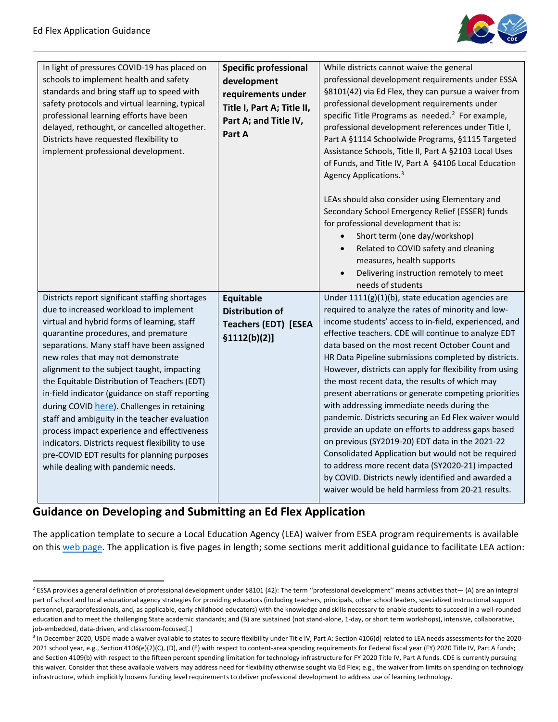

| In light of pressures COVID-19 has placed on<br>schools to implement health and safety<br>standards and bring staff up to speed with<br>safety protocols and virtual learning, typical<br>professional learning efforts have been<br>delayed, rethought, or cancelled altogether.<br>Districts have requested flexibility to<br>implement professional development.                                                                                                                                                                                                                                                                                                                                           | <b>Specific professional</b><br>development<br>requirements under<br>Title I, Part A; Title II,<br>Part A; and Title IV,<br>Part A | While districts cannot waive the general<br>professional development requirements under ESSA<br>§8101(42) via Ed Flex, they can pursue a waiver from<br>professional development requirements under<br>specific Title Programs as needed. <sup>2</sup> For example,<br>professional development references under Title I,<br>Part A §1114 Schoolwide Programs, §1115 Targeted<br>Assistance Schools, Title II, Part A §2103 Local Uses<br>of Funds, and Title IV, Part A §4106 Local Education<br>Agency Applications. <sup>3</sup><br>LEAs should also consider using Elementary and<br>Secondary School Emergency Relief (ESSER) funds<br>for professional development that is:<br>Short term (one day/workshop)<br>Related to COVID safety and cleaning<br>measures, health supports<br>Delivering instruction remotely to meet<br>needs of students                                                                                         |
|---------------------------------------------------------------------------------------------------------------------------------------------------------------------------------------------------------------------------------------------------------------------------------------------------------------------------------------------------------------------------------------------------------------------------------------------------------------------------------------------------------------------------------------------------------------------------------------------------------------------------------------------------------------------------------------------------------------|------------------------------------------------------------------------------------------------------------------------------------|-------------------------------------------------------------------------------------------------------------------------------------------------------------------------------------------------------------------------------------------------------------------------------------------------------------------------------------------------------------------------------------------------------------------------------------------------------------------------------------------------------------------------------------------------------------------------------------------------------------------------------------------------------------------------------------------------------------------------------------------------------------------------------------------------------------------------------------------------------------------------------------------------------------------------------------------------|
| Districts report significant staffing shortages<br>due to increased workload to implement<br>virtual and hybrid forms of learning, staff<br>quarantine procedures, and premature<br>separations. Many staff have been assigned<br>new roles that may not demonstrate<br>alignment to the subject taught, impacting<br>the Equitable Distribution of Teachers (EDT)<br>in-field indicator (guidance on staff reporting<br>during COVID here). Challenges in retaining<br>staff and ambiguity in the teacher evaluation<br>process impact experience and effectiveness<br>indicators. Districts request flexibility to use<br>pre-COVID EDT results for planning purposes<br>while dealing with pandemic needs. | <b>Equitable</b><br><b>Distribution of</b><br><b>Teachers (EDT) [ESEA</b><br>\$1112(b)(2)]                                         | Under $1111(g)(1)(b)$ , state education agencies are<br>required to analyze the rates of minority and low-<br>income students' access to in-field, experienced, and<br>effective teachers. CDE will continue to analyze EDT<br>data based on the most recent October Count and<br>HR Data Pipeline submissions completed by districts.<br>However, districts can apply for flexibility from using<br>the most recent data, the results of which may<br>present aberrations or generate competing priorities<br>with addressing immediate needs during the<br>pandemic. Districts securing an Ed Flex waiver would<br>provide an update on efforts to address gaps based<br>on previous (SY2019-20) EDT data in the 2021-22<br>Consolidated Application but would not be required<br>to address more recent data (SY2020-21) impacted<br>by COVID. Districts newly identified and awarded a<br>waiver would be held harmless from 20-21 results. |

### **Guidance on Developing and Submitting an Ed Flex Application**

The application template to secure a Local Education Agency (LEA) waiver from ESEA program requirements is available on this [web page.](https://www.cde.state.co.us/fedprograms/ov/ef#:%7E:text=Requesting%20a%20Waiver,Flex%20waiver%20application%20for%20approval.) The application is five pages in length; some sections merit additional guidance to facilitate LEA action:

<span id="page-1-0"></span><sup>&</sup>lt;sup>2</sup> ESSA provides a general definition of professional development under §8101 (42): The term "professional development" means activities that- $(A)$  are an integral part of school and local educational agency strategies for providing educators (including teachers, principals, other school leaders, specialized instructional support personnel, paraprofessionals, and, as applicable, early childhood educators) with the knowledge and skills necessary to enable students to succeed in a well-rounded education and to meet the challenging State academic standards; and (B) are sustained (not stand-alone, 1-day, or short term workshops), intensive, collaborative, job-embedded, data-driven, and classroom-focused[.]

<span id="page-1-1"></span><sup>&</sup>lt;sup>3</sup> In December 2020, USDE made a waiver available to states to secure flexibility under Title IV, Part A: Section 4106(d) related to LEA needs assessments for the 2020-2021 school year, e.g., Section 4106(e)(2)(C), (D), and (E) with respect to content-area spending requirements for Federal fiscal year (FY) 2020 Title IV, Part A funds; and Section 4109(b) with respect to the fifteen percent spending limitation for technology infrastructure for FY 2020 Title IV, Part A funds. CDE is currently pursuing this waiver. Consider that these available waivers may address need for flexibility otherwise sought via Ed Flex; e.g., the waiver from limits on spending on technology infrastructure, which implicitly loosens funding level requirements to deliver professional development to address use of learning technology.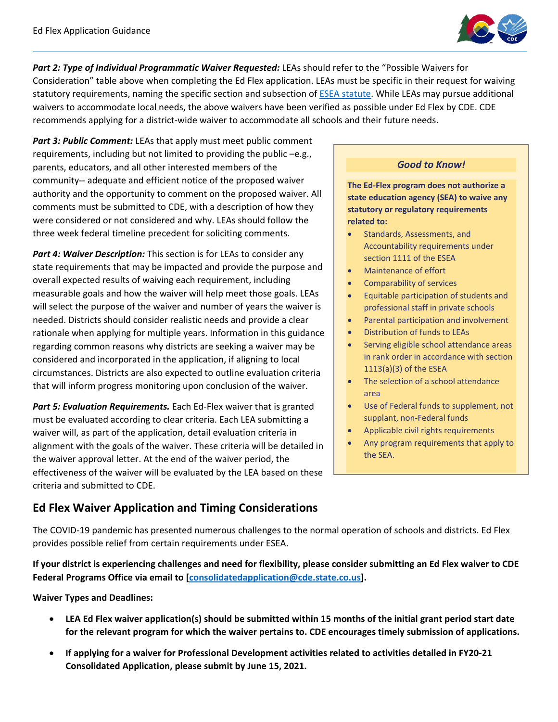

Part 2: Type of Individual Programmatic Waiver Requested: LEAs should refer to the "Possible Waivers for Consideration" table above when completing the Ed Flex application. LEAs must be specific in their request for waiving statutory requirements, naming the specific section and subsection o[f ESEA statute.](https://www2.ed.gov/policy/elsec/leg/essa/legislation/index.html) While LEAs may pursue additional waivers to accommodate local needs, the above waivers have been verified as possible under Ed Flex by CDE. CDE recommends applying for a district-wide waiver to accommodate all schools and their future needs.

*Part 3: Public Comment:* LEAs that apply must meet public comment requirements, including but not limited to providing the public –e.g., parents, educators, and all other interested members of the community-- adequate and efficient notice of the proposed waiver authority and the opportunity to comment on the proposed waiver. All comments must be submitted to CDE, with a description of how they were considered or not considered and why. LEAs should follow the three week federal timeline precedent for soliciting comments.

*Part 4: Waiver Description:* This section is for LEAs to consider any state requirements that may be impacted and provide the purpose and overall expected results of waiving each requirement, including measurable goals and how the waiver will help meet those goals. LEAs will select the purpose of the waiver and number of years the waiver is needed. Districts should consider realistic needs and provide a clear rationale when applying for multiple years. Information in this guidance regarding common reasons why districts are seeking a waiver may be considered and incorporated in the application, if aligning to local circumstances. Districts are also expected to outline evaluation criteria that will inform progress monitoring upon conclusion of the waiver.

**Part 5: Evaluation Requirements.** Each Ed-Flex waiver that is granted must be evaluated according to clear criteria. Each LEA submitting a waiver will, as part of the application, detail evaluation criteria in alignment with the goals of the waiver. These criteria will be detailed in the waiver approval letter. At the end of the waiver period, the effectiveness of the waiver will be evaluated by the LEA based on these criteria and submitted to CDE.

#### *Good to Know!*

**The Ed-Flex program does not authorize a state education agency (SEA) to waive any statutory or regulatory requirements related to:**

- Standards, Assessments, and Accountability requirements under section 1111 of the ESEA
- Maintenance of effort
- Comparability of services
- Equitable participation of students and professional staff in private schools
- Parental participation and involvement
- Distribution of funds to LEAs
- Serving eligible school attendance areas in rank order in accordance with section 1113(a)(3) of the ESEA
- The selection of a school attendance area
- Use of Federal funds to supplement, not supplant, non-Federal funds
- Applicable civil rights requirements
- Any program requirements that apply to the SEA.

### **Ed Flex Waiver Application and Timing Considerations**

The COVID-19 pandemic has presented numerous challenges to the normal operation of schools and districts. Ed Flex provides possible relief from certain requirements under ESEA.

**If your district is experiencing challenges and need for flexibility, please consider submitting an Ed Flex waiver to CDE Federal Programs Office via email to [\[consolidatedapplication@cde.state.co.us\]](mailto:consolidatedapplication@cde.state.co.us?subject=Ed%20Flex%20Waiver%20Application).** 

#### **Waiver Types and Deadlines:**

- **LEA Ed Flex waiver application(s) should be submitted within 15 months of the initial grant period start date for the relevant program for which the waiver pertains to. CDE encourages timely submission of applications.**
- **If applying for a waiver for Professional Development activities related to activities detailed in FY20-21 Consolidated Application, please submit by June 15, 2021.**